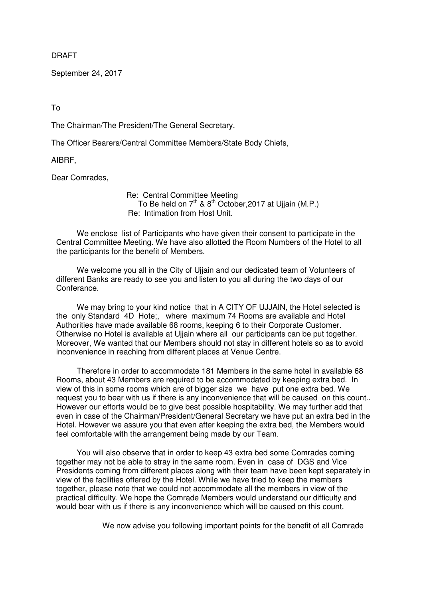DRAFT

September 24, 2017

To

The Chairman/The President/The General Secretary.

The Officer Bearers/Central Committee Members/State Body Chiefs,

AIBRF,

Dear Comrades,

 Re: Central Committee Meeting To Be held on 7<sup>th</sup> & 8<sup>th</sup> October, 2017 at Ujjain (M.P.) Re: Intimation from Host Unit.

We enclose list of Participants who have given their consent to participate in the Central Committee Meeting. We have also allotted the Room Numbers of the Hotel to all the participants for the benefit of Members.

We welcome you all in the City of Ujjain and our dedicated team of Volunteers of different Banks are ready to see you and listen to you all during the two days of our Conferance.

We may bring to your kind notice that in A CITY OF UJJAIN, the Hotel selected is the only Standard 4D Hote;, where maximum 74 Rooms are available and Hotel Authorities have made available 68 rooms, keeping 6 to their Corporate Customer. Otherwise no Hotel is available at Ujjain where all our participants can be put together. Moreover, We wanted that our Members should not stay in different hotels so as to avoid inconvenience in reaching from different places at Venue Centre.

Therefore in order to accommodate 181 Members in the same hotel in available 68 Rooms, about 43 Members are required to be accommodated by keeping extra bed. In view of this in some rooms which are of bigger size we have put one extra bed. We request you to bear with us if there is any inconvenience that will be caused on this count.. However our efforts would be to give best possible hospitability. We may further add that even in case of the Chairman/President/General Secretary we have put an extra bed in the Hotel. However we assure you that even after keeping the extra bed, the Members would feel comfortable with the arrangement being made by our Team.

You will also observe that in order to keep 43 extra bed some Comrades coming together may not be able to stray in the same room. Even in case of DGS and Vice Presidents coming from different places along with their team have been kept separately in view of the facilities offered by the Hotel. While we have tried to keep the members together, please note that we could not accommodate all the members in view of the practical difficulty. We hope the Comrade Members would understand our difficulty and would bear with us if there is any inconvenience which will be caused on this count.

We now advise you following important points for the benefit of all Comrade